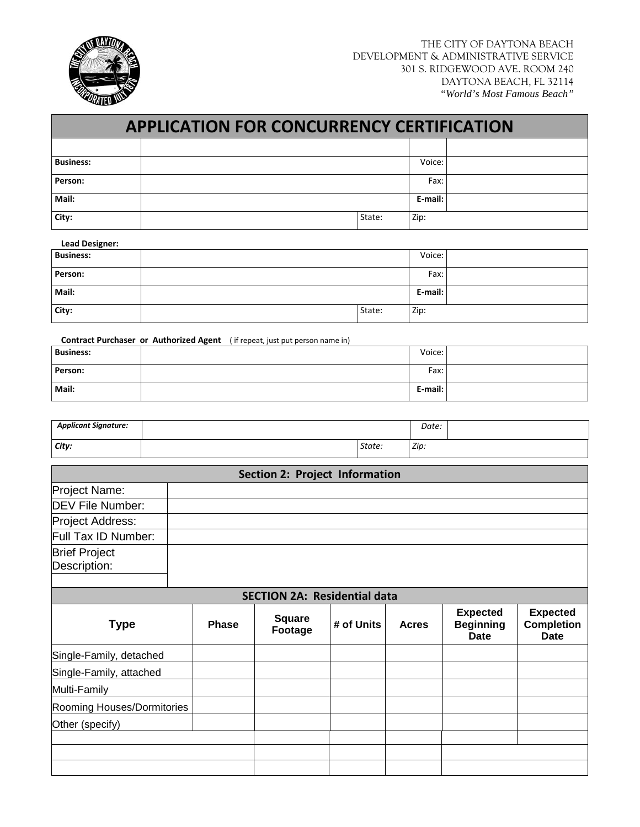

| <b>APPLICATION FOR CONCURRENCY CERTIFICATION</b> |  |         |        |  |  |  |  |  |
|--------------------------------------------------|--|---------|--------|--|--|--|--|--|
|                                                  |  |         |        |  |  |  |  |  |
| <b>Business:</b>                                 |  |         | Voice: |  |  |  |  |  |
| Person:                                          |  | Fax:    |        |  |  |  |  |  |
| Mail:                                            |  | E-mail: |        |  |  |  |  |  |
| City:                                            |  | State:  | Zip:   |  |  |  |  |  |

## **Lead Designer:**

| <b>Business:</b> |        | Voice:  |  |
|------------------|--------|---------|--|
| Person:          |        | Fax:    |  |
| Mail:            |        | E-mail: |  |
| City:            | State: | Zip:    |  |

**Contract Purchaser or Authorized Agent** ( if repeat, just put person name in)

| <b>Business:</b> | Voice:  |  |
|------------------|---------|--|
| Person:          | Fax:    |  |
| Mail:            | E-mail: |  |

| <b>Applicant Signature:</b> |        | Date: |  |
|-----------------------------|--------|-------|--|
| City:                       | State: | Zip:  |  |

|                                      |              | <b>Section 2: Project Information</b> |            |              |                                                    |                                                     |
|--------------------------------------|--------------|---------------------------------------|------------|--------------|----------------------------------------------------|-----------------------------------------------------|
| Project Name:                        |              |                                       |            |              |                                                    |                                                     |
| <b>DEV File Number:</b>              |              |                                       |            |              |                                                    |                                                     |
| Project Address:                     |              |                                       |            |              |                                                    |                                                     |
| Full Tax ID Number:                  |              |                                       |            |              |                                                    |                                                     |
| <b>Brief Project</b><br>Description: |              |                                       |            |              |                                                    |                                                     |
|                                      |              | <b>SECTION 2A: Residential data</b>   |            |              |                                                    |                                                     |
| <b>Type</b>                          | <b>Phase</b> | <b>Square</b><br>Footage              | # of Units | <b>Acres</b> | <b>Expected</b><br><b>Beginning</b><br><b>Date</b> | <b>Expected</b><br><b>Completion</b><br><b>Date</b> |
| Single-Family, detached              |              |                                       |            |              |                                                    |                                                     |
| Single-Family, attached              |              |                                       |            |              |                                                    |                                                     |
| Multi-Family                         |              |                                       |            |              |                                                    |                                                     |
| Rooming Houses/Dormitories           |              |                                       |            |              |                                                    |                                                     |
| Other (specify)                      |              |                                       |            |              |                                                    |                                                     |
|                                      |              |                                       |            |              |                                                    |                                                     |
|                                      |              |                                       |            |              |                                                    |                                                     |
|                                      |              |                                       |            |              |                                                    |                                                     |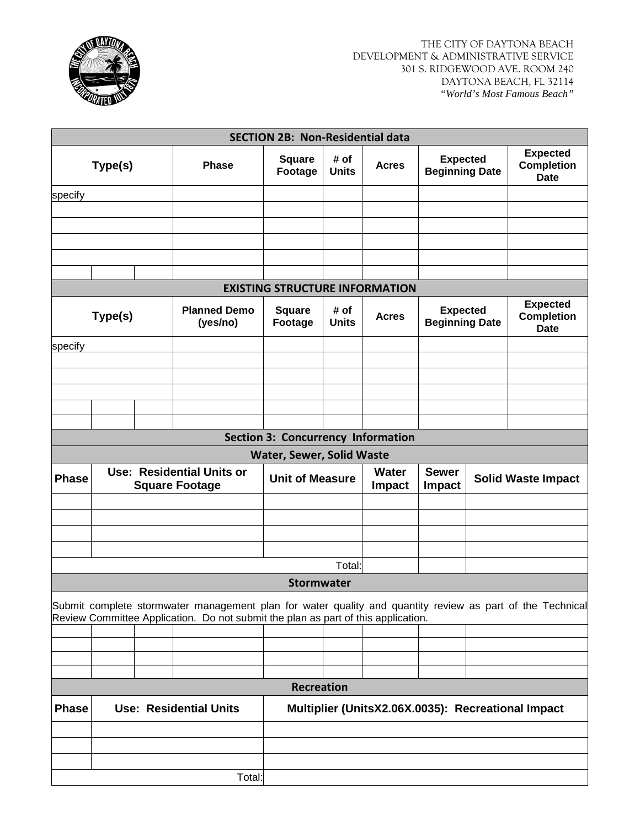

|              |                                                           |  |                                                                                                           | <b>SECTION 2B: Non-Residential data</b>                 |                      |                               |                                          |                                                                                          |                                                     |  |
|--------------|-----------------------------------------------------------|--|-----------------------------------------------------------------------------------------------------------|---------------------------------------------------------|----------------------|-------------------------------|------------------------------------------|------------------------------------------------------------------------------------------|-----------------------------------------------------|--|
|              | Type(s)                                                   |  | <b>Phase</b>                                                                                              | <b>Square</b><br>Footage                                | # of<br><b>Units</b> | <b>Acres</b>                  | <b>Expected</b><br><b>Beginning Date</b> |                                                                                          | <b>Expected</b><br><b>Completion</b><br><b>Date</b> |  |
| specify      |                                                           |  |                                                                                                           |                                                         |                      |                               |                                          |                                                                                          |                                                     |  |
|              |                                                           |  |                                                                                                           |                                                         |                      |                               |                                          |                                                                                          |                                                     |  |
|              |                                                           |  |                                                                                                           |                                                         |                      |                               |                                          |                                                                                          |                                                     |  |
|              |                                                           |  |                                                                                                           |                                                         |                      |                               |                                          |                                                                                          |                                                     |  |
|              |                                                           |  |                                                                                                           |                                                         |                      |                               |                                          |                                                                                          |                                                     |  |
|              |                                                           |  |                                                                                                           |                                                         |                      |                               |                                          |                                                                                          |                                                     |  |
|              |                                                           |  |                                                                                                           | <b>EXISTING STRUCTURE INFORMATION</b>                   |                      |                               |                                          |                                                                                          |                                                     |  |
|              | <b>Planned Demo</b><br>Type(s)<br>(yes/no)                |  |                                                                                                           | <b>Square</b><br>Footage                                | # of<br><b>Units</b> | <b>Acres</b>                  |                                          | <b>Expected</b><br><b>Expected</b><br><b>Completion</b><br><b>Beginning Date</b><br>Date |                                                     |  |
| specify      |                                                           |  |                                                                                                           |                                                         |                      |                               |                                          |                                                                                          |                                                     |  |
|              |                                                           |  |                                                                                                           |                                                         |                      |                               |                                          |                                                                                          |                                                     |  |
|              |                                                           |  |                                                                                                           |                                                         |                      |                               |                                          |                                                                                          |                                                     |  |
|              |                                                           |  |                                                                                                           |                                                         |                      |                               |                                          |                                                                                          |                                                     |  |
|              |                                                           |  |                                                                                                           |                                                         |                      |                               |                                          |                                                                                          |                                                     |  |
|              |                                                           |  |                                                                                                           |                                                         |                      |                               |                                          |                                                                                          |                                                     |  |
|              |                                                           |  |                                                                                                           | <b>Section 3: Concurrency Information</b>               |                      |                               |                                          |                                                                                          |                                                     |  |
|              |                                                           |  |                                                                                                           | <b>Water, Sewer, Solid Waste</b>                        |                      |                               |                                          |                                                                                          |                                                     |  |
| <b>Phase</b> | <b>Use: Residential Units or</b><br><b>Square Footage</b> |  |                                                                                                           | <b>Water</b><br><b>Unit of Measure</b><br><b>Impact</b> |                      | <b>Sewer</b><br><b>Impact</b> |                                          | <b>Solid Waste Impact</b>                                                                |                                                     |  |
|              |                                                           |  |                                                                                                           |                                                         |                      |                               |                                          |                                                                                          |                                                     |  |
|              |                                                           |  |                                                                                                           |                                                         |                      |                               |                                          |                                                                                          |                                                     |  |
|              |                                                           |  |                                                                                                           |                                                         |                      |                               |                                          |                                                                                          |                                                     |  |
|              |                                                           |  |                                                                                                           |                                                         |                      |                               |                                          |                                                                                          |                                                     |  |
|              |                                                           |  |                                                                                                           |                                                         |                      |                               |                                          |                                                                                          |                                                     |  |
|              |                                                           |  |                                                                                                           |                                                         | Total:               |                               |                                          |                                                                                          |                                                     |  |
|              |                                                           |  |                                                                                                           | <b>Stormwater</b>                                       |                      |                               |                                          |                                                                                          |                                                     |  |
|              |                                                           |  | Submit complete stormwater management plan for water quality and quantity review as part of the Technical |                                                         |                      |                               |                                          |                                                                                          |                                                     |  |
|              |                                                           |  | Review Committee Application. Do not submit the plan as part of this application.                         |                                                         |                      |                               |                                          |                                                                                          |                                                     |  |
|              |                                                           |  |                                                                                                           |                                                         |                      |                               |                                          |                                                                                          |                                                     |  |
|              |                                                           |  |                                                                                                           |                                                         |                      |                               |                                          |                                                                                          |                                                     |  |
|              |                                                           |  |                                                                                                           |                                                         |                      |                               |                                          |                                                                                          |                                                     |  |
|              |                                                           |  |                                                                                                           |                                                         |                      |                               |                                          |                                                                                          |                                                     |  |
| <b>Phase</b> |                                                           |  | <b>Use: Residential Units</b>                                                                             | <b>Recreation</b>                                       |                      |                               |                                          |                                                                                          | Multiplier (UnitsX2.06X.0035): Recreational Impact  |  |
|              |                                                           |  |                                                                                                           |                                                         |                      |                               |                                          |                                                                                          |                                                     |  |
|              |                                                           |  |                                                                                                           |                                                         |                      |                               |                                          |                                                                                          |                                                     |  |
|              |                                                           |  |                                                                                                           |                                                         |                      |                               |                                          |                                                                                          |                                                     |  |